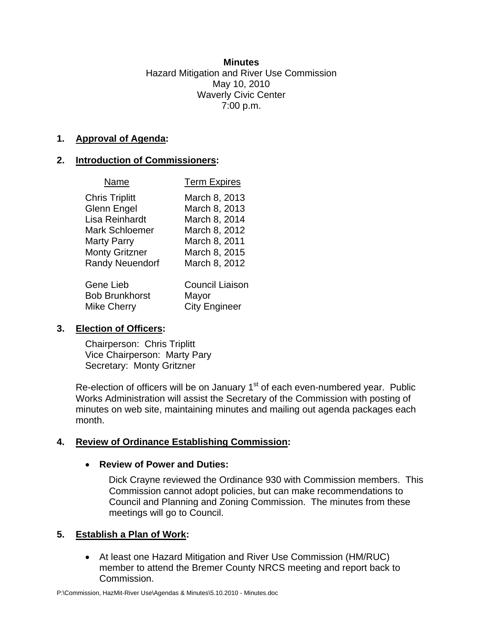#### **Minutes**

Hazard Mitigation and River Use Commission May 10, 2010 Waverly Civic Center 7:00 p.m.

### **1. Approval of Agenda:**

### **2. Introduction of Commissioners:**

| Name                   | <b>Term Expires</b>    |
|------------------------|------------------------|
| <b>Chris Triplitt</b>  | March 8, 2013          |
| Glenn Engel            | March 8, 2013          |
| Lisa Reinhardt         | March 8, 2014          |
| <b>Mark Schloemer</b>  | March 8, 2012          |
| Marty Parry            | March 8, 2011          |
| <b>Monty Gritzner</b>  | March 8, 2015          |
| <b>Randy Neuendorf</b> | March 8, 2012          |
| Gene Lieb              | <b>Council Liaison</b> |
| <b>Bob Brunkhorst</b>  | Mayor                  |
| <b>Mike Cherry</b>     | <b>City Engineer</b>   |

# **3. Election of Officers:**

Chairperson: Chris Triplitt Vice Chairperson: Marty Pary Secretary: Monty Gritzner

Re-election of officers will be on January  $1<sup>st</sup>$  of each even-numbered year. Public Works Administration will assist the Secretary of the Commission with posting of minutes on web site, maintaining minutes and mailing out agenda packages each month.

# **4. Review of Ordinance Establishing Commission:**

### • **Review of Power and Duties:**

Dick Crayne reviewed the Ordinance 930 with Commission members. This Commission cannot adopt policies, but can make recommendations to Council and Planning and Zoning Commission. The minutes from these meetings will go to Council.

# **5. Establish a Plan of Work:**

• At least one Hazard Mitigation and River Use Commission (HM/RUC) member to attend the Bremer County NRCS meeting and report back to Commission.